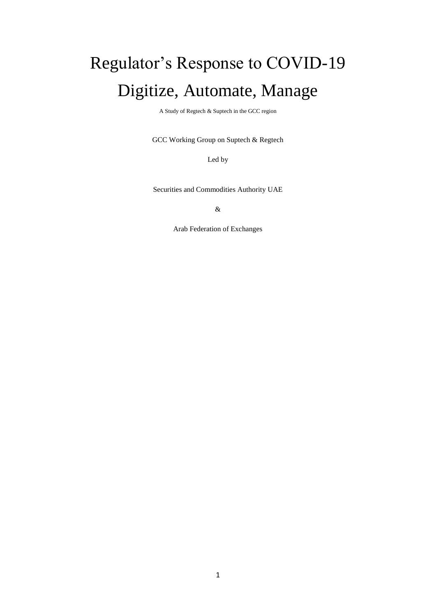# Regulator's Response to COVID-19 Digitize, Automate, Manage

A Study of Regtech & Suptech in the GCC region

GCC Working Group on Suptech & Regtech

Led by

Securities and Commodities Authority UAE

&

Arab Federation of Exchanges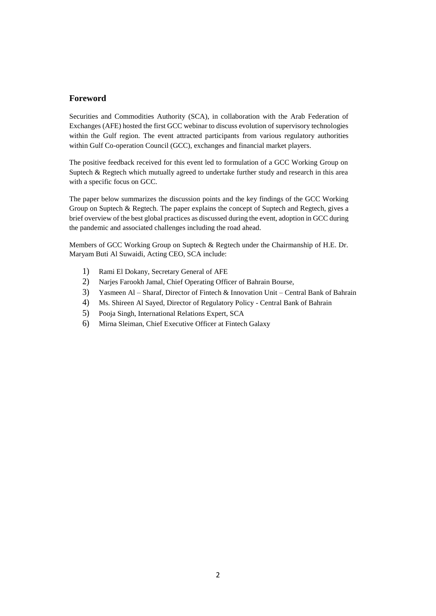# **Foreword**

 Securities and Commodities Authority (SCA), in collaboration with the Arab Federation of Exchanges (AFE) hosted the first GCC webinar to discuss evolution of supervisory technologies within the Gulf region. The event attracted participants from various regulatory authorities within Gulf Co-operation Council (GCC), exchanges and financial market players.

 The positive feedback received for this event led to formulation of a GCC Working Group on Suptech & Regtech which mutually agreed to undertake further study and research in this area with a specific focus on GCC.

 The paper below summarizes the discussion points and the key findings of the GCC Working Group on Suptech & Regtech. The paper explains the concept of Suptech and Regtech, gives a brief overview of the best global practices as discussed during the event, adoption in GCC during the pandemic and associated challenges including the road ahead.

 Members of GCC Working Group on Suptech & Regtech under the Chairmanship of H.E. Dr. Maryam Buti Al Suwaidi, Acting CEO, SCA include:

- 1) Rami El Dokany, Secretary General of AFE
- 2) Narjes Farookh Jamal, Chief Operating Officer of Bahrain Bourse,
- 3) Yasmeen Al Sharaf, Director of Fintech & Innovation Unit Central Bank of Bahrain
- 4) Ms. Shireen Al Sayed, Director of Regulatory Policy Central Bank of Bahrain
- 5) Pooja Singh, International Relations Expert, SCA
- 6) Mirna Sleiman, Chief Executive Officer at Fintech Galaxy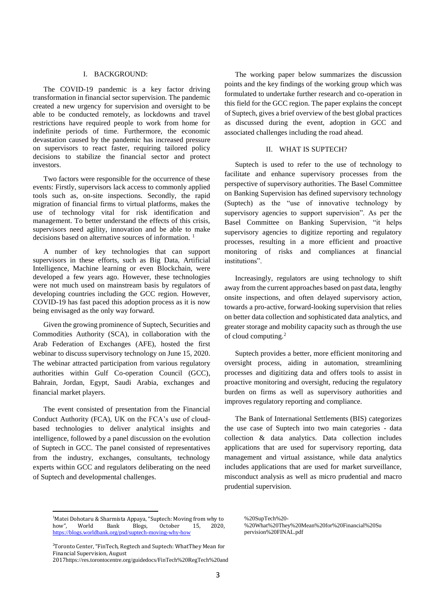#### I. BACKGROUND:

The COVID-19 pandemic is a key factor driving transformation in financial sector supervision. The pandemic created a new urgency for supervision and oversight to be able to be conducted remotely, as lockdowns and travel restrictions have required people to work from home for indefinite periods of time. Furthermore, the economic devastation caused by the pandemic has increased pressure on supervisors to react faster, requiring tailored policy decisions to stabilize the financial sector and protect investors.

Two factors were responsible for the occurrence of these events: Firstly, supervisors lack access to commonly applied tools such as, on-site inspections. Secondly, the rapid migration of financial firms to virtual platforms, makes the use of technology vital for risk identification and management. To better understand the effects of this crisis, supervisors need agility, innovation and be able to make decisions based on alternative sources of information.<sup>1</sup>

A number of key technologies that can support supervisors in these efforts, such as Big Data, Artificial Intelligence, Machine learning or even Blockchain, were developed a few years ago. However, these technologies were not much used on mainstream basis by regulators of developing countries including the GCC region. However, COVID-19 has fast paced this adoption process as it is now being envisaged as the only way forward.

Given the growing prominence of Suptech, Securities and Commodities Authority (SCA), in collaboration with the Arab Federation of Exchanges (AFE), hosted the first webinar to discuss supervisory technology on June 15, 2020. The webinar attracted participation from various regulatory authorities within Gulf Co-operation Council (GCC), Bahrain, Jordan, Egypt, Saudi Arabia, exchanges and financial market players.

The event consisted of presentation from the Financial Conduct Authority (FCA), UK on the FCA's use of cloudbased technologies to deliver analytical insights and intelligence, followed by a panel discussion on the evolution of Suptech in GCC. The panel consisted of representatives from the industry, exchanges, consultants, technology experts within GCC and regulators deliberating on the need of Suptech and developmental challenges.

1

The working paper below summarizes the discussion points and the key findings of the working group which was formulated to undertake further research and co-operation in this field for the GCC region. The paper explains the concept of Suptech, gives a brief overview of the best global practices as discussed during the event, adoption in GCC and associated challenges including the road ahead.

#### II. WHAT IS SUPTECH?

Suptech is used to refer to the use of technology to facilitate and enhance supervisory processes from the perspective of supervisory authorities. The Basel Committee on Banking Supervision has defined supervisory technology (Suptech) as the "use of innovative technology by supervisory agencies to support supervision". As per the Basel Committee on Banking Supervision, "it helps supervisory agencies to digitize reporting and regulatory processes, resulting in a more efficient and proactive monitoring of risks and compliances at financial institutions".

Increasingly, regulators are using technology to shift away from the current approaches based on past data, lengthy onsite inspections, and often delayed supervisory action, towards a pro-active, forward-looking supervision that relies on better data collection and sophisticated data analytics, and greater storage and mobility capacity such as through the use of cloud computing.<sup>2</sup>

Suptech provides a better, more efficient monitoring and oversight process, aiding in automation, streamlining processes and digitizing data and offers tools to assist in proactive monitoring and oversight, reducing the regulatory burden on firms as well as supervisory authorities and improves regulatory reporting and compliance.

The Bank of International Settlements (BIS) categorizes the use case of Suptech into two main categories - data collection & data analytics. Data collection includes applications that are used for supervisory reporting, data management and virtual assistance, while data analytics includes applications that are used for market surveillance, misconduct analysis as well as micro prudential and macro prudential supervision.

<sup>&</sup>lt;sup>1</sup>Matei Dohotaru & Sharmista Appaya, "Suptech: Moving from why to how", World Bank Blogs, October 15, 2020, <https://blogs.worldbank.org/psd/suptech-moving-why-how>

[<sup>%20</sup>SupTech%20-](https://res.torontocentre.org/guidedocs/FinTech%20RegTech%20and%20SupTech%20-%20What%20They%20Mean%20for%20Financial%20Supervision%20FINAL.pdf) [%20What%20They%20Mean%20for%20Financial%20Su](https://res.torontocentre.org/guidedocs/FinTech%20RegTech%20and%20SupTech%20-%20What%20They%20Mean%20for%20Financial%20Supervision%20FINAL.pdf) [pervision%20FINAL.pdf](https://res.torontocentre.org/guidedocs/FinTech%20RegTech%20and%20SupTech%20-%20What%20They%20Mean%20for%20Financial%20Supervision%20FINAL.pdf)

<sup>2</sup>Toronto Center, "FinTech, Regtech and Suptech: WhatThey Mean for Financial Supervision, August

<sup>2017</sup>[https://res.torontocentre.org/guidedocs/FinTech%20RegTech%20and](https://res.torontocentre.org/guidedocs/FinTech%20RegTech%20and%20SupTech%20-%20What%20They%20Mean%20for%20Financial%20Supervision%20FINAL.pdf)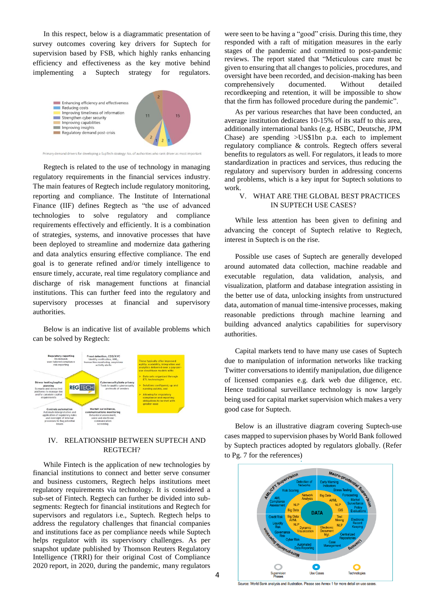In this respect, below is a diagrammatic presentation of survey outcomes covering key drivers for Suptech for supervision based by FSB, which highly ranks enhancing efficiency and effectiveness as the key motive behind implementing a Suptech strategy for regulators.



Primary demand drivers for developing a SupTech strategy: No. of authorities who rank driver as most important

Regtech is related to the use of technology in managing regulatory requirements in the financial services industry. The main features of Regtech include regulatory monitoring, reporting and compliance. The Institute of International Finance (IIF) defines Regtech as "the use of advanced technologies to solve regulatory and compliance requirements effectively and efficiently. It is a combination of strategies, systems, and innovative processes that have been deployed to streamline and modernize data gathering and data analytics ensuring effective compliance. The end goal is to generate refined and/or timely intelligence to ensure timely, accurate, real time regulatory compliance and discharge of risk management functions at financial institutions. This can further feed into the regulatory and supervisory processes at financial and supervisory authorities.

Below is an indicative list of available problems which can be solved by Regtech:



## IV. RELATIONSHIP BETWEEN SUPTECH AND REGTECH?

While Fintech is the application of new technologies by financial institutions to connect and better serve consumer and business customers, Regtech helps institutions meet regulatory requirements via technology. It is considered a sub-set of Fintech. Regtech can further be divided into subsegments: Regtech for financial institutions and Regtech for supervisors and regulators i.e., Suptech. Regtech helps to address the regulatory challenges that financial companies and institutions face as per compliance needs while Suptech helps regulator with its supervisory challenges. As per snapshot update published by Thomson Reuters Regulatory Intelligence (TRRI) for their original Cost of Compliance 2020 report, in 2020, during the pandemic, many regulators

were seen to be having a "good" crisis. During this time, they responded with a raft of mitigation measures in the early stages of the pandemic and committed to post-pandemic reviews. The report stated that "Meticulous care must be given to ensuring that all changes to policies, procedures, and oversight have been recorded, and decision-making has been comprehensively documented. Without detailed recordkeeping and retention, it will be impossible to show that the firm has followed procedure during the pandemic".

As per various researches that have been conducted, an average institution dedicates 10-15% of its staff to this area, additionally international banks (e.g. HSBC, Deutsche, JPM Chase) are spending >US\$1bn p.a. each to implement regulatory compliance & controls. Regtech offers several benefits to regulators as well. For regulators, it leads to more standardization in practices and services, thus reducing the regulatory and supervisory burden in addressing concerns and problems, which is a key input for Suptech solutions to work.

# V. WHAT ARE THE GLOBAL BEST PRACTICES IN SUPTECH USE CASES?

While less attention has been given to defining and advancing the concept of Suptech relative to Regtech, interest in Suptech is on the rise.

Possible use cases of Suptech are generally developed around automated data collection, machine readable and executable regulation, data validation, analysis, and visualization, platform and database integration assisting in the better use of data, unlocking insights from unstructured data, automation of manual time-intensive processes, making reasonable predictions through machine learning and building advanced analytics capabilities for supervisory authorities.

Capital markets tend to have many use cases of Suptech due to manipulation of information networks like tracking Twitter conversations to identify manipulation, due diligence of licensed companies e.g. dark web due diligence, etc. Hence traditional surveillance technology is now largely being used for capital market supervision which makes a very good case for Suptech.

Below is an illustrative diagram covering Suptech-use cases mapped to supervision phases by World Bank followed by Suptech practices adopted by regulators globally. (Refer to Pg. 7 for the references)



.<br>Source: World Bank analysis and illustration. Please see Annex 1 for more detail on use cases.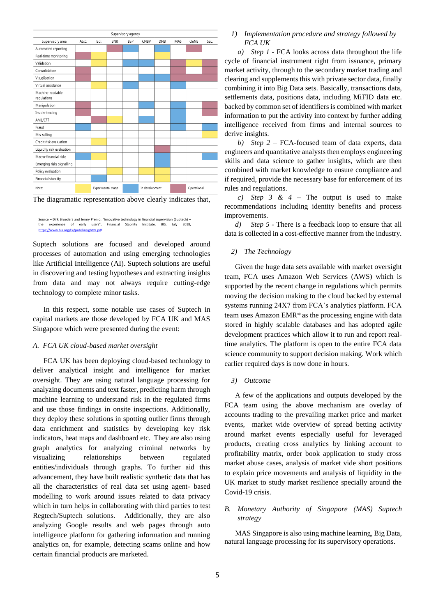



Source – Dirk Broeders and Jermy Prenio; "Innovative technology in financial supervision (Suptech) – the experience of early users", Financial Stability Institute, BIS, July 20[18,](https://www.bis.org/fsi/publ/insights9.pdf) <https://www.bis.org/fsi/publ/insights9.pdf>

Suptech solutions are focused and developed around processes of automation and using emerging technologies like Artificial Intelligence (AI). Suptech solutions are useful in discovering and testing hypotheses and extracting insights from data and may not always require cutting-edge technology to complete minor tasks.

In this respect, some notable use cases of Suptech in capital markets are those developed by FCA UK and MAS Singapore which were presented during the event:

#### *A. FCA UK cloud-based market oversight*

FCA UK has been deploying cloud-based technology to deliver analytical insight and intelligence for market oversight. They are using natural language processing for analyzing documents and text faster, predicting harm through machine learning to understand risk in the regulated firms and use those findings in onsite inspections. Additionally, they deploy these solutions in spotting outlier firms through data enrichment and statistics by developing key risk indicators, heat maps and dashboard etc. They are also using graph analytics for analyzing criminal networks by visualizing relationships between regulated entities/individuals through graphs. To further aid this advancement, they have built realistic synthetic data that has all the characteristics of real data set using agent- based modelling to work around issues related to data privacy which in turn helps in collaborating with third parties to test Regtech/Suptech solutions. Additionally, they are also analyzing Google results and web pages through auto intelligence platform for gathering information and running analytics on, for example, detecting scams online and how certain financial products are marketed.

*1) Implementation procedure and strategy followed by FCA UK*

*a) Step 1* - FCA looks across data throughout the life cycle of financial instrument right from issuance, primary market activity, through to the secondary market trading and clearing and supplements this with private sector data, finally combining it into Big Data sets. Basically, transactions data, settlements data, positions data, including MiFID data etc. backed by common set of identifiers is combined with market information to put the activity into context by further adding intelligence received from firms and internal sources to derive insights.

*b) Step 2* – FCA-focused team of data experts, data engineers and quantitative analysts then employs engineering skills and data science to gather insights, which are then combined with market knowledge to ensure compliance and if required, provide the necessary base for enforcement of its rules and regulations.

*c) Step 3 & 4* – The output is used to make recommendations including identity benefits and process improvements.

*d) Step 5* - There is a feedback loop to ensure that all data is collected in a cost-effective manner from the industry.

#### *2) The Technology*

Given the huge data sets available with market oversight team, FCA uses Amazon Web Services (AWS) which is supported by the recent change in regulations which permits moving the decision making to the cloud backed by external systems running 24X7 from FCA's analytics platform. FCA team uses Amazon EMR\* as the processing engine with data stored in highly scalable databases and has adopted agile development practices which allow it to run and report realtime analytics. The platform is open to the entire FCA data science community to support decision making. Work which earlier required days is now done in hours.

*3) Outcome*

A few of the applications and outputs developed by the FCA team using the above mechanism are overlay of accounts trading to the prevailing market price and market events, market wide overview of spread betting activity around market events especially useful for leveraged products, creating cross analytics by linking account to profitability matrix, order book application to study cross market abuse cases, analysis of market vide short positions to explain price movements and analysis of liquidity in the UK market to study market resilience specially around the Covid-19 crisis.

## *B. Monetary Authority of Singapore (MAS) Suptech strategy*

MAS Singapore is also using machine learning, Big Data, natural language processing for its supervisory operations.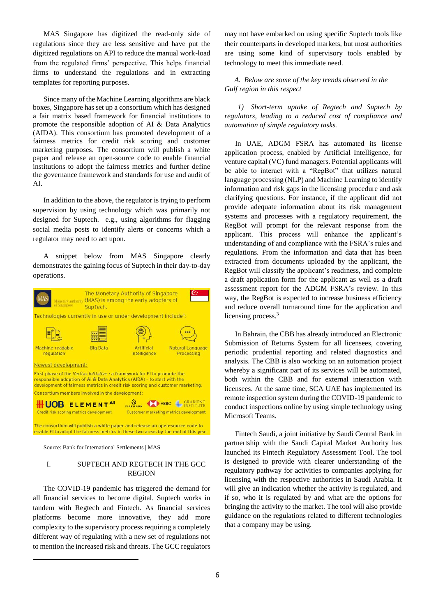MAS Singapore has digitized the read-only side of regulations since they are less sensitive and have put the digitized regulations on API to reduce the manual work-load from the regulated firms' perspective. This helps financial firms to understand the regulations and in extracting templates for reporting purposes.

Since many of the Machine Learning algorithms are black boxes, Singapore has set up a consortium which has designed a fair matrix based framework for financial institutions to promote the responsible adoption of AI & Data Analytics (AIDA). This consortium has promoted development of a fairness metrics for credit risk scoring and customer marketing purposes. The consortium will publish a white paper and release an open-source code to enable financial institutions to adopt the fairness metrics and further define the governance framework and standards for use and audit of AI.

In addition to the above, the regulator is trying to perform supervision by using technology which was primarily not designed for Suptech. e.g., using algorithms for flagging social media posts to identify alerts or concerns which a regulator may need to act upon.

A snippet below from MAS Singapore clearly demonstrates the gaining focus of Suptech in their day-to-day operations.



Source: Bank for International Settlements | MAS

 $\overline{\phantom{a}}$ 

## I. SUPTECH AND REGTECH IN THE GCC REGION

The COVID-19 pandemic has triggered the demand for all financial services to become digital. Suptech works in tandem with Regtech and Fintech. As financial services platforms become more innovative, they add more complexity to the supervisory process requiring a completely different way of regulating with a new set of regulations not to mention the increased risk and threats. The GCC regulators may not have embarked on using specific Suptech tools like their counterparts in developed markets, but most authorities are using some kind of supervisory tools enabled by technology to meet this immediate need.

*A. Below are some of the key trends observed in the Gulf region in this respect*

*1) Short-term uptake of Regtech and Suptech by regulators, leading to a reduced cost of compliance and automation of simple regulatory tasks.* 

In UAE, ADGM FSRA has automated its license application process, enabled by Artificial Intelligence, for venture capital (VC) fund managers. Potential applicants will be able to interact with a "RegBot" that utilizes natural language processing (NLP) and Machine Learning to identify information and risk gaps in the licensing procedure and ask clarifying questions. For instance, if the applicant did not provide adequate information about its risk management systems and processes with a regulatory requirement, the RegBot will prompt for the relevant response from the applicant. This process will enhance the applicant's understanding of and compliance with the FSRA's rules and regulations. From the information and data that has been extracted from documents uploaded by the applicant, the RegBot will classify the applicant's readiness, and complete a draft application form for the applicant as well as a draft assessment report for the ADGM FSRA's review. In this way, the RegBot is expected to increase business efficiency and reduce overall turnaround time for the application and licensing process.<sup>3</sup>

In Bahrain, the CBB has already introduced an Electronic Submission of Returns System for all licensees, covering periodic prudential reporting and related diagnostics and analysis. The CBB is also working on an automation project whereby a significant part of its services will be automated, both within the CBB and for external interaction with licensees. At the same time, SCA UAE has implemented its remote inspection system during the COVID-19 pandemic to conduct inspections online by using simple technology using Microsoft Teams.

Fintech Saudi, a joint initiative by Saudi Central Bank in partnertship with the Saudi Capital Market Authority has launched its Fintech Regulatory Assessment Tool. The tool is designed to provide with clearer understanding of the regulatory pathway for activities to companies applying for licensing with the respective authorities in Saudi Arabia. It will give an indication whether the activity is regulated, and if so, who it is regulated by and what are the options for bringing the activity to the market. The tool will also provide guidance on the regulations related to different technologies that a company may be using.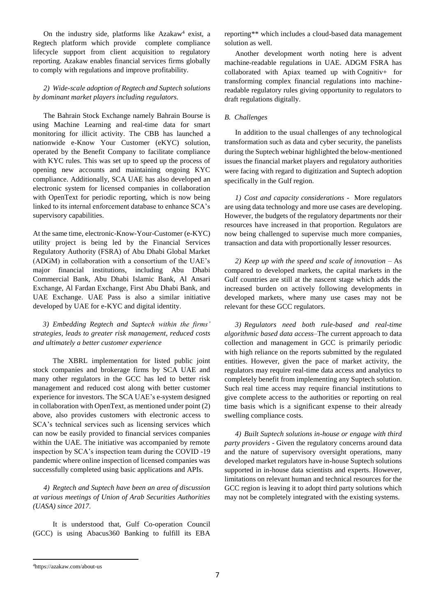On the industry side, platforms like [Azakaw](https://www.azakaw.com/)<sup>4</sup> exist, a Regtech platform which provide complete compliance lifecycle support from client acquisition to regulatory reporting. Azakaw enables financial services firms globally to comply with regulations and improve profitability.

## *2) Wide-scale adoption of Regtech and Suptech solutions by dominant market players including regulators.*

The Bahrain Stock Exchange namely Bahrain Bourse is using Machine Learning and real-time data for smart monitoring for illicit activity. The CBB has launched a nationwide e-Know Your Customer (eKYC) solution, operated by the Benefit Company to facilitate compliance with KYC rules. This was set up to speed up the process of opening new accounts and maintaining ongoing KYC compliance. Additionally, SCA UAE has also developed an electronic system for licensed companies in collaboration with OpenText for periodic reporting, which is now being linked to its internal enforcement database to enhance SCA's supervisory capabilities.

At the same time[, electronic-Know-Your-Customer \(e-KYC\)](https://fintech.global/globalregtechsummit/partners/)  [utility project](https://fintech.global/globalregtechsummit/partners/) is being led by the Financial Services Regulatory Authority (FSRA) of Abu Dhabi Global Market (ADGM) in collaboration with a consortium of the UAE's major financial institutions, including Abu Dhabi Commercial Bank, Abu Dhabi Islamic Bank, Al Ansari Exchange, Al Fardan Exchange, First Abu Dhabi Bank, and UAE Exchange. UAE Pass is also a similar initiative developed by UAE for e-KYC and digital identity.

*3) Embedding Regtech and Suptech within the firms' strategies, leads to greater risk management, reduced costs and ultimately a better customer experience* 

The XBRL implementation for listed public joint stock companies and brokerage firms by SCA UAE and many other regulators in the GCC has led to better risk management and reduced cost along with better customer experience for investors. The SCA UAE's e-system designed in collaboration with OpenText, as mentioned under point (2) above, also provides customers with electronic access to SCA's technical services such as licensing services which can now be easily provided to financial services companies within the UAE. The initiative was accompanied by remote inspection by SCA's inspection team during the COVID -19 pandemic where online inspection of licensed companies was successfully completed using basic applications and APIs.

*4) Regtech and Suptech have been an area of discussion at various meetings of Union of Arab Securities Authorities (UASA) since 2017.*

It is understood that, Gulf Co-operation Council (GCC) is using Abacus360 Banking to fulfill its EBA reporting\*\* which includes a cloud-based data management solution as well.

Another development worth noting here is advent machine-readable regulations in UAE. ADGM FSRA has collaborated with Apiax teamed up with [Cognitiv+](http://www.cognitivplus.com/) for transforming complex financial regulations into machinereadable regulatory rules giving opportunity to regulators to draft regulations digitally.

### *B. Challenges*

In addition to the usual challenges of any technological transformation such as data and cyber security, the panelists during the Suptech webinar highlighted the below-mentioned issues the financial market players and regulatory authorities were facing with regard to digitization and Suptech adoption specifically in the Gulf region.

*1) Cost and capacity considerations* - More regulators are using data technology and more use cases are developing. However, the budgets of the regulatory departments nor their resources have increased in that proportion. Regulators are now being challenged to supervise much more companies, transaction and data with proportionally lesser resources.

*2) Keep up with the speed and scale of innovation* – As compared to developed markets, the capital markets in the Gulf countries are still at the nascent stage which adds the increased burden on actively following developments in developed markets, where many use cases may not be relevant for these GCC regulators.

*3) Regulators need both rule-based and real-time algorithmic based data access*–The current approach to data collection and management in GCC is primarily periodic with high reliance on the reports submitted by the regulated entities. However, given the pace of market activity, the regulators may require real-time data access and analytics to completely benefit from implementing any Suptech solution. Such real time access may require financial institutions to give complete access to the authorities or reporting on real time basis which is a significant expense to their already swelling compliance costs.

*4) Built Suptech solutions in-house or engage with third party providers* - Given the regulatory concerns around data and the nature of supervisory oversight operations, many developed market regulators have in-house Suptech solutions supported in in-house data scientists and experts. However, limitations on relevant human and technical resources for the GCC region is leaving it to adopt third party solutions which may not be completely integrated with the existing systems.

 $\overline{\phantom{a}}$ 

<sup>4</sup>https://azakaw.com/about-us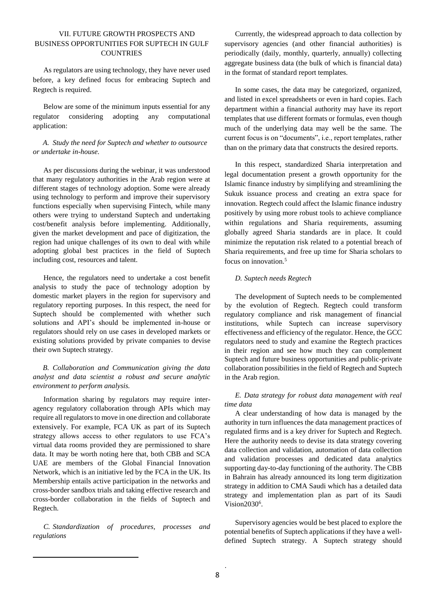# VII. FUTURE GROWTH PROSPECTS AND BUSINESS OPPORTUNITIES FOR SUPTECH IN GULF **COUNTRIES**

As regulators are using technology, they have never used before, a key defined focus for embracing Suptech and Regtech is required.

Below are some of the minimum inputs essential for any regulator considering adopting any computational application:

### *A. Study the need for Suptech and whether to outsource or undertake in-house.*

As per discussions during the webinar, it was understood that many regulatory authorities in the Arab region were at different stages of technology adoption. Some were already using technology to perform and improve their supervisory functions especially when supervising Fintech, while many others were trying to understand Suptech and undertaking cost/benefit analysis before implementing. Additionally, given the market development and pace of digitization, the region had unique challenges of its own to deal with while adopting global best practices in the field of Suptech including cost, resources and talent.

Hence, the regulators need to undertake a cost benefit analysis to study the pace of technology adoption by domestic market players in the region for supervisory and regulatory reporting purposes. In this respect, the need for Suptech should be complemented with whether such solutions and API's should be implemented in-house or regulators should rely on use cases in developed markets or existing solutions provided by private companies to devise their own Suptech strategy.

# *B. Collaboration and Communication giving the data analyst and data scientist a robust and secure analytic environment to perform analysis.*

Information sharing by regulators may require interagency regulatory collaboration through APIs which may require all regulators to move in one direction and collaborate extensively. For example, FCA UK as part of its Suptech strategy allows access to other regulators to use FCA's virtual data rooms provided they are permissioned to share data. It may be worth noting here that, both CBB and SCA UAE are members of the Global Financial Innovation Network, which is an initiative led by the FCA in the UK. Its Membership entails active participation in the networks and cross-border sandbox trials and taking effective research and cross-border collaboration in the fields of Suptech and Regtech.

*C. Standardization of procedures, processes and regulations*

**.** 

Currently, the widespread approach to data collection by supervisory agencies (and other financial authorities) is periodically (daily, monthly, quarterly, annually) collecting aggregate business data (the bulk of which is financial data) in the format of standard report templates.

In some cases, the data may be categorized, organized, and listed in excel spreadsheets or even in hard copies. Each department within a financial authority may have its report templates that use different formats or formulas, even though much of the underlying data may well be the same. The current focus is on "documents", i.e., report templates, rather than on the primary data that constructs the desired reports.

In this respect, standardized Sharia interpretation and legal documentation present a growth opportunity for the Islamic finance industry by simplifying and streamlining the Sukuk issuance process and creating an extra space for innovation. Regtech could affect the Islamic finance industry positively by using more robust tools to achieve compliance within regulations and Sharia requirements, assuming globally agreed Sharia standards are in place. It could minimize the reputation risk related to a potential breach of Sharia requirements, and free up time for Sharia scholars to focus on innovation.<sup>5</sup>

### *D. Suptech needs Regtech*

The development of Suptech needs to be complemented by the evolution of Regtech. Regtech could transform regulatory compliance and risk management of financial institutions, while Suptech can increase supervisory effectiveness and efficiency of the regulator. Hence, the GCC regulators need to study and examine the Regtech practices in their region and see how much they can complement Suptech and future business opportunities and public-private collaboration possibilities in the field of Regtech and Suptech in the Arab region.

## *E. Data strategy for robust data management with real time data*

A clear understanding of how data is managed by the authority in turn influences the data management practices of regulated firms and is a key driver for Suptech and Regtech. Here the authority needs to devise its data strategy covering data collection and validation, automation of data collection and validation processes and dedicated data analytics supporting day-to-day functioning of the authority. The CBB in Bahrain has already announced its long term digitization strategy in addition to CMA Saudi which has a detailed data strategy and implementation plan as part of its Saudi Vision2030<sup>6</sup>.

Supervisory agencies would be best placed to explore the potential benefits of Suptech applications if they have a welldefined Suptech strategy. A Suptech strategy should

.